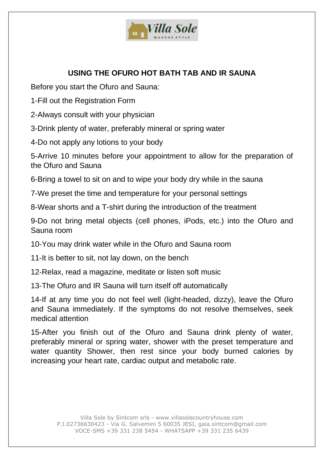

## **USING THE OFURO HOT BATH TAB AND IR SAUNA**

Before you start the Ofuro and Sauna:

1-Fill out the Registration Form

2-Always consult with your physician

3-Drink plenty of water, preferably mineral or spring water

4-Do not apply any lotions to your body

5-Arrive 10 minutes before your appointment to allow for the preparation of the Ofuro and Sauna

6-Bring a towel to sit on and to wipe your body dry while in the sauna

7-We preset the time and temperature for your personal settings

8-Wear shorts and a T-shirt during the introduction of the treatment

9-Do not bring metal objects (cell phones, iPods, etc.) into the Ofuro and Sauna room

10-You may drink water while in the Ofuro and Sauna room

11-It is better to sit, not lay down, on the bench

12-Relax, read a magazine, meditate or listen soft music

13-The Ofuro and IR Sauna will turn itself off automatically

14-If at any time you do not feel well (light-headed, dizzy), leave the Ofuro and Sauna immediately. If the symptoms do not resolve themselves, seek medical attention

15-After you finish out of the Ofuro and Sauna drink plenty of water, preferably mineral or spring water, shower with the preset temperature and water quantity Shower, then rest since your body burned calories by increasing your heart rate, cardiac output and metabolic rate.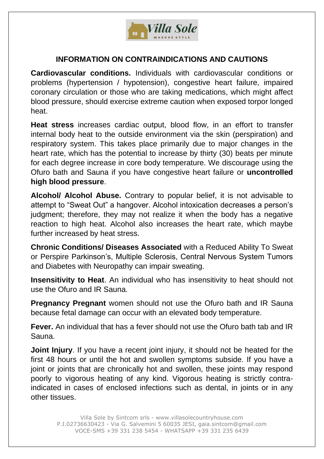

## **INFORMATION ON CONTRAINDICATIONS AND CAUTIONS**

**Cardiovascular conditions.** Individuals with cardiovascular conditions or problems (hypertension / hypotension), congestive heart failure, impaired coronary circulation or those who are taking medications, which might affect blood pressure, should exercise extreme caution when exposed torpor longed heat.

**Heat stress** increases cardiac output, blood flow, in an effort to transfer internal body heat to the outside environment via the skin (perspiration) and respiratory system. This takes place primarily due to major changes in the heart rate, which has the potential to increase by thirty (30) beats per minute for each degree increase in core body temperature. We discourage using the Ofuro bath and Sauna if you have congestive heart failure or **uncontrolled high blood pressure**.

**Alcohol/ Alcohol Abuse.** Contrary to popular belief, it is not advisable to attempt to "Sweat Out" a hangover. Alcohol intoxication decreases a person's judgment; therefore, they may not realize it when the body has a negative reaction to high heat. Alcohol also increases the heart rate, which maybe further increased by heat stress.

**Chronic Conditions/ Diseases Associated** with a Reduced Ability To Sweat or Perspire Parkinson's, Multiple Sclerosis, Central Nervous System Tumors and Diabetes with Neuropathy can impair sweating.

**Insensitivity to Heat**. An individual who has insensitivity to heat should not use the Ofuro and IR Sauna.

**Pregnancy Pregnant** women should not use the Ofuro bath and IR Sauna because fetal damage can occur with an elevated body temperature.

**Fever.** An individual that has a fever should not use the Ofuro bath tab and IR Sauna.

**Joint Injury**. If you have a recent joint injury, it should not be heated for the first 48 hours or until the hot and swollen symptoms subside. If you have a joint or joints that are chronically hot and swollen, these joints may respond poorly to vigorous heating of any kind. Vigorous heating is strictly contraindicated in cases of enclosed infections such as dental, in joints or in any other tissues.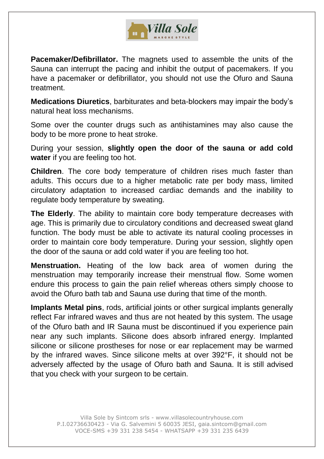

**Pacemaker/Defibrillator.** The magnets used to assemble the units of the Sauna can interrupt the pacing and inhibit the output of pacemakers. If you have a pacemaker or defibrillator, you should not use the Ofuro and Sauna treatment.

**Medications Diuretics**, barbiturates and beta-blockers may impair the body's natural heat loss mechanisms.

Some over the counter drugs such as antihistamines may also cause the body to be more prone to heat stroke.

During your session, **slightly open the door of the sauna or add cold water** if you are feeling too hot.

**Children**. The core body temperature of children rises much faster than adults. This occurs due to a higher metabolic rate per body mass, limited circulatory adaptation to increased cardiac demands and the inability to regulate body temperature by sweating.

**The Elderly**. The ability to maintain core body temperature decreases with age. This is primarily due to circulatory conditions and decreased sweat gland function. The body must be able to activate its natural cooling processes in order to maintain core body temperature. During your session, slightly open the door of the sauna or add cold water if you are feeling too hot.

**Menstruation.** Heating of the low back area of women during the menstruation may temporarily increase their menstrual flow. Some women endure this process to gain the pain relief whereas others simply choose to avoid the Ofuro bath tab and Sauna use during that time of the month.

**Implants Metal pins**, rods, artificial joints or other surgical implants generally reflect Far infrared waves and thus are not heated by this system. The usage of the Ofuro bath and IR Sauna must be discontinued if you experience pain near any such implants. Silicone does absorb infrared energy. Implanted silicone or silicone prostheses for nose or ear replacement may be warmed by the infrared waves. Since silicone melts at over 392°F, it should not be adversely affected by the usage of Ofuro bath and Sauna. It is still advised that you check with your surgeon to be certain.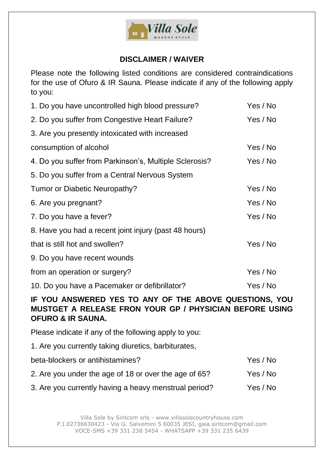

## **DISCLAIMER / WAIVER**

Please note the following listed conditions are considered contraindications for the use of Ofuro & IR Sauna. Please indicate if any of the following apply to you:

| 1. Do you have uncontrolled high blood pressure?       | Yes / No |
|--------------------------------------------------------|----------|
| 2. Do you suffer from Congestive Heart Failure?        | Yes / No |
| 3. Are you presently intoxicated with increased        |          |
| consumption of alcohol                                 | Yes / No |
| 4. Do you suffer from Parkinson's, Multiple Sclerosis? | Yes / No |
| 5. Do you suffer from a Central Nervous System         |          |
| Tumor or Diabetic Neuropathy?                          | Yes / No |
| 6. Are you pregnant?                                   | Yes / No |
| 7. Do you have a fever?                                | Yes / No |
| 8. Have you had a recent joint injury (past 48 hours)  |          |
| that is still hot and swollen?                         | Yes / No |
| 9. Do you have recent wounds                           |          |
| from an operation or surgery?                          | Yes / No |
| 10. Do you have a Pacemaker or defibrillator?          | Yes / No |

## **IF YOU ANSWERED YES TO ANY OF THE ABOVE QUESTIONS, YOU MUSTGET A RELEASE FRON YOUR GP / PHYSICIAN BEFORE USING OFURO & IR SAUNA.**

Please indicate if any of the following apply to you:

1. Are you currently taking diuretics, barbiturates,

| beta-blockers or antihistamines?                      | Yes / No |
|-------------------------------------------------------|----------|
| 2. Are you under the age of 18 or over the age of 65? | Yes / No |
| 3. Are you currently having a heavy menstrual period? | Yes / No |